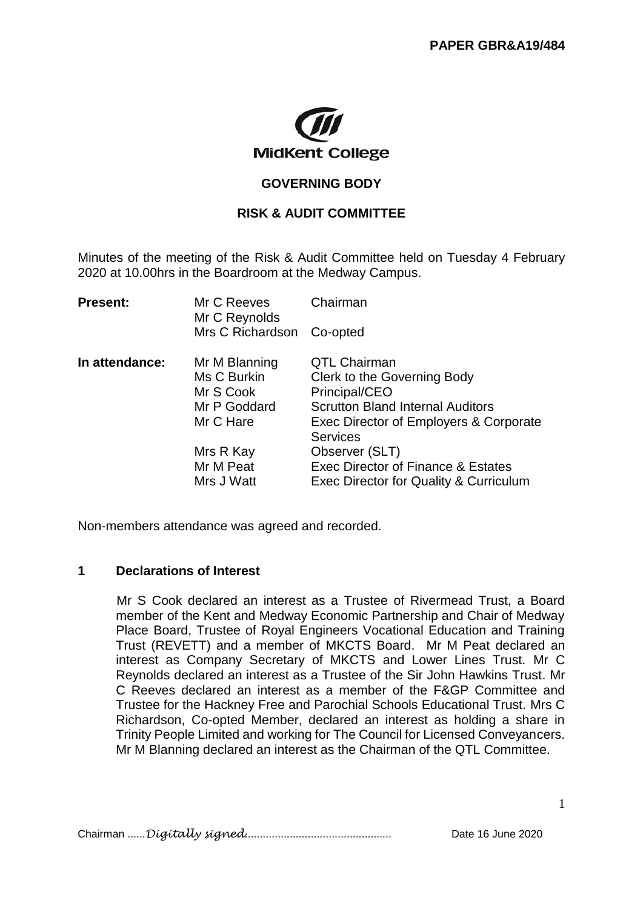

#### **GOVERNING BODY**

#### **RISK & AUDIT COMMITTEE**

Minutes of the meeting of the Risk & Audit Committee held on Tuesday 4 February 2020 at 10.00hrs in the Boardroom at the Medway Campus.

| <b>Present:</b> | Mr C Reeves<br>Mr C Reynolds | Chairman                                |
|-----------------|------------------------------|-----------------------------------------|
|                 | Mrs C Richardson             | Co-opted                                |
| In attendance:  | Mr M Blanning                | <b>QTL Chairman</b>                     |
|                 | Ms C Burkin                  | Clerk to the Governing Body             |
|                 | Mr S Cook                    | Principal/CEO                           |
|                 | Mr P Goddard                 | <b>Scrutton Bland Internal Auditors</b> |
|                 | Mr C Hare                    | Exec Director of Employers & Corporate  |
|                 |                              | <b>Services</b>                         |
|                 | Mrs R Kay                    | Observer (SLT)                          |
|                 | Mr M Peat                    | Exec Director of Finance & Estates      |
|                 | Mrs J Watt                   | Exec Director for Quality & Curriculum  |

Non-members attendance was agreed and recorded.

#### **1 Declarations of Interest**

Mr S Cook declared an interest as a Trustee of Rivermead Trust, a Board member of the Kent and Medway Economic Partnership and Chair of Medway Place Board, Trustee of Royal Engineers Vocational Education and Training Trust (REVETT) and a member of MKCTS Board. Mr M Peat declared an interest as Company Secretary of MKCTS and Lower Lines Trust. Mr C Reynolds declared an interest as a Trustee of the Sir John Hawkins Trust. Mr C Reeves declared an interest as a member of the F&GP Committee and Trustee for the Hackney Free and Parochial Schools Educational Trust. Mrs C Richardson, Co-opted Member, declared an interest as holding a share in Trinity People Limited and working for The Council for Licensed Conveyancers. Mr M Blanning declared an interest as the Chairman of the QTL Committee.

Chairman ......*Digitally signed*................................................. Date 16 June 2020

1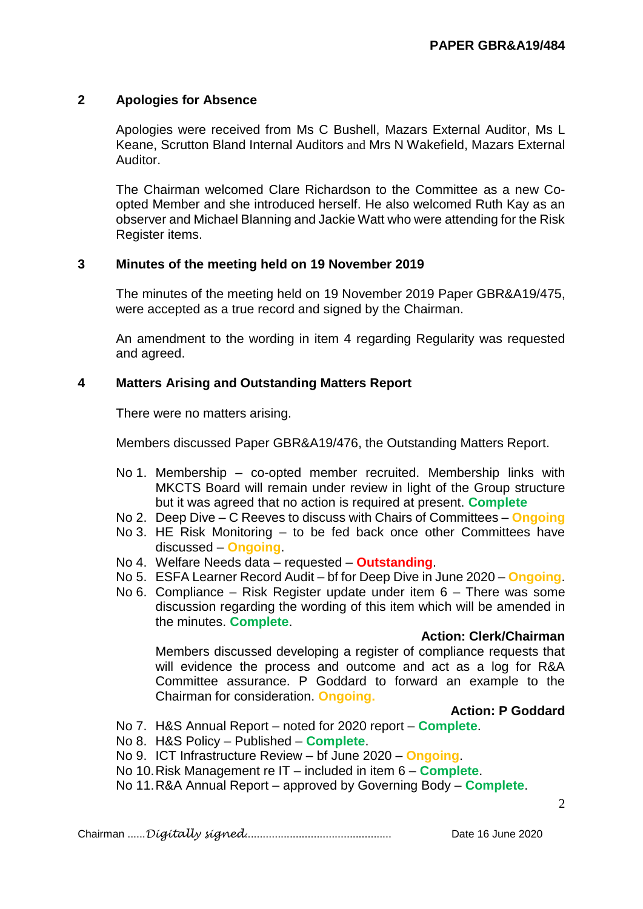## **2 Apologies for Absence**

Apologies were received from Ms C Bushell, Mazars External Auditor, Ms L Keane, Scrutton Bland Internal Auditors and Mrs N Wakefield, Mazars External Auditor.

The Chairman welcomed Clare Richardson to the Committee as a new Coopted Member and she introduced herself. He also welcomed Ruth Kay as an observer and Michael Blanning and Jackie Watt who were attending for the Risk Register items.

## **3 Minutes of the meeting held on 19 November 2019**

The minutes of the meeting held on 19 November 2019 Paper GBR&A19/475, were accepted as a true record and signed by the Chairman.

An amendment to the wording in item 4 regarding Regularity was requested and agreed.

# **4 Matters Arising and Outstanding Matters Report**

There were no matters arising.

Members discussed Paper GBR&A19/476, the Outstanding Matters Report.

- No 1. Membership co-opted member recruited. Membership links with MKCTS Board will remain under review in light of the Group structure but it was agreed that no action is required at present. **Complete**
- No 2. Deep Dive C Reeves to discuss with Chairs of Committees **Ongoing**
- No 3. HE Risk Monitoring to be fed back once other Committees have discussed – **Ongoing**.
- No 4. Welfare Needs data requested **Outstanding**.
- No 5. ESFA Learner Record Audit bf for Deep Dive in June 2020 **Ongoing**.
- No 6. Compliance Risk Register update under item 6 There was some discussion regarding the wording of this item which will be amended in the minutes. **Complete**.

## **Action: Clerk/Chairman**

Members discussed developing a register of compliance requests that will evidence the process and outcome and act as a log for R&A Committee assurance. P Goddard to forward an example to the Chairman for consideration. **Ongoing.**

## **Action: P Goddard**

- No 7. H&S Annual Report noted for 2020 report **Complete**.
- No 8. H&S Policy Published **Complete**.
- No 9. ICT Infrastructure Review bf June 2020 **Ongoing**.
- No 10.Risk Management re IT included in item 6 **Complete**.
- No 11.R&A Annual Report approved by Governing Body **Complete**.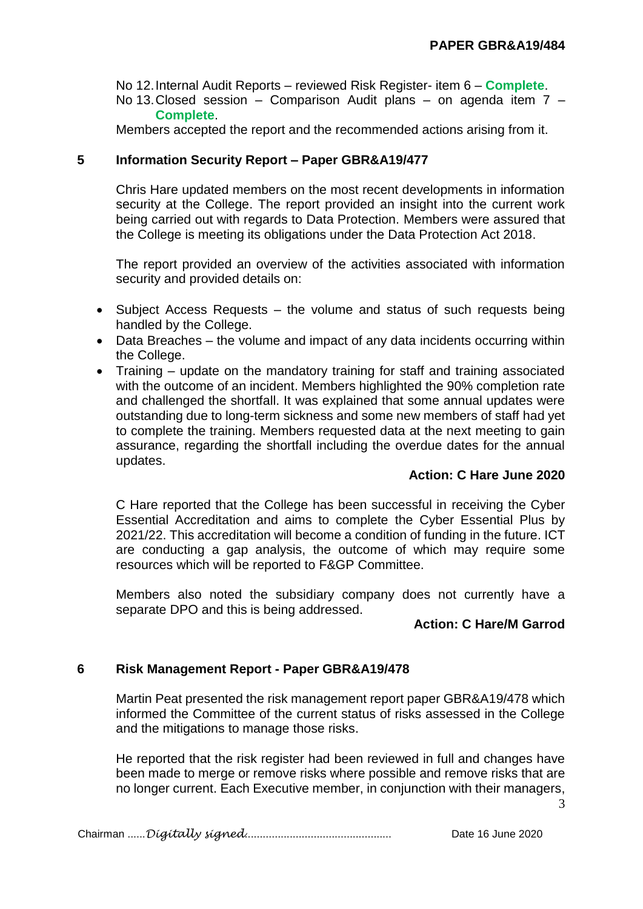No 12.Internal Audit Reports – reviewed Risk Register- item 6 – **Complete**.

# No 13.Closed session – Comparison Audit plans – on agenda item 7 – **Complete**.

Members accepted the report and the recommended actions arising from it.

## **5 Information Security Report – Paper GBR&A19/477**

Chris Hare updated members on the most recent developments in information security at the College. The report provided an insight into the current work being carried out with regards to Data Protection. Members were assured that the College is meeting its obligations under the Data Protection Act 2018.

The report provided an overview of the activities associated with information security and provided details on:

- Subject Access Requests the volume and status of such requests being handled by the College.
- Data Breaches the volume and impact of any data incidents occurring within the College.
- Training update on the mandatory training for staff and training associated with the outcome of an incident. Members highlighted the 90% completion rate and challenged the shortfall. It was explained that some annual updates were outstanding due to long-term sickness and some new members of staff had yet to complete the training. Members requested data at the next meeting to gain assurance, regarding the shortfall including the overdue dates for the annual updates.

## **Action: C Hare June 2020**

C Hare reported that the College has been successful in receiving the Cyber Essential Accreditation and aims to complete the Cyber Essential Plus by 2021/22. This accreditation will become a condition of funding in the future. ICT are conducting a gap analysis, the outcome of which may require some resources which will be reported to F&GP Committee.

Members also noted the subsidiary company does not currently have a separate DPO and this is being addressed.

## **Action: C Hare/M Garrod**

## **6 Risk Management Report - Paper GBR&A19/478**

Martin Peat presented the risk management report paper GBR&A19/478 which informed the Committee of the current status of risks assessed in the College and the mitigations to manage those risks.

He reported that the risk register had been reviewed in full and changes have been made to merge or remove risks where possible and remove risks that are no longer current. Each Executive member, in conjunction with their managers,

3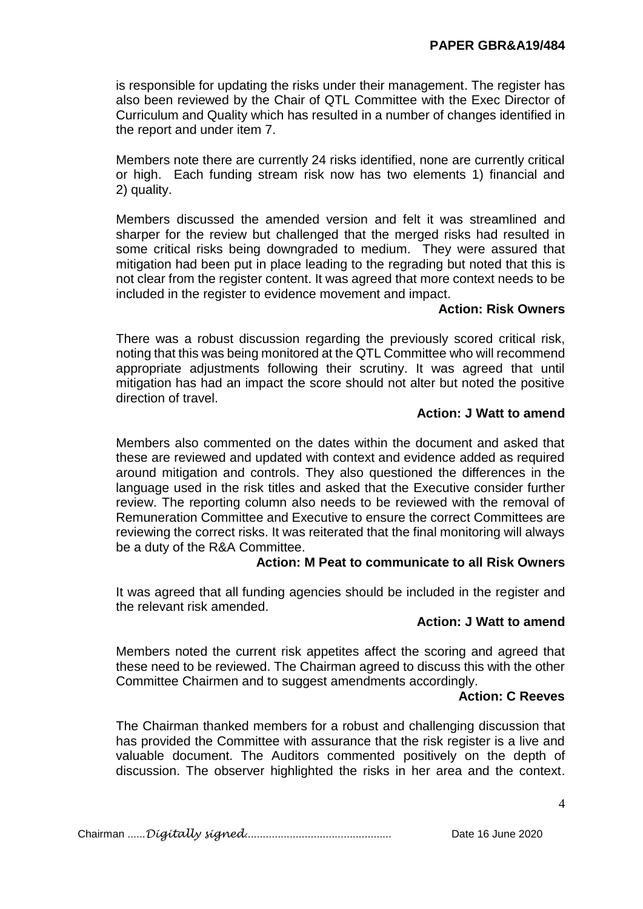is responsible for updating the risks under their management. The register has also been reviewed by the Chair of QTL Committee with the Exec Director of Curriculum and Quality which has resulted in a number of changes identified in the report and under item 7.

Members note there are currently 24 risks identified, none are currently critical or high. Each funding stream risk now has two elements 1) financial and 2) quality.

Members discussed the amended version and felt it was streamlined and sharper for the review but challenged that the merged risks had resulted in some critical risks being downgraded to medium. They were assured that mitigation had been put in place leading to the regrading but noted that this is not clear from the register content. It was agreed that more context needs to be included in the register to evidence movement and impact.

# **Action: Risk Owners**

There was a robust discussion regarding the previously scored critical risk, noting that this was being monitored at the QTL Committee who will recommend appropriate adjustments following their scrutiny. It was agreed that until mitigation has had an impact the score should not alter but noted the positive direction of travel.

## **Action: J Watt to amend**

Members also commented on the dates within the document and asked that these are reviewed and updated with context and evidence added as required around mitigation and controls. They also questioned the differences in the language used in the risk titles and asked that the Executive consider further review. The reporting column also needs to be reviewed with the removal of Remuneration Committee and Executive to ensure the correct Committees are reviewing the correct risks. It was reiterated that the final monitoring will always be a duty of the R&A Committee.

## **Action: M Peat to communicate to all Risk Owners**

It was agreed that all funding agencies should be included in the register and the relevant risk amended.

## **Action: J Watt to amend**

Members noted the current risk appetites affect the scoring and agreed that these need to be reviewed. The Chairman agreed to discuss this with the other Committee Chairmen and to suggest amendments accordingly.

## **Action: C Reeves**

The Chairman thanked members for a robust and challenging discussion that has provided the Committee with assurance that the risk register is a live and valuable document. The Auditors commented positively on the depth of discussion. The observer highlighted the risks in her area and the context.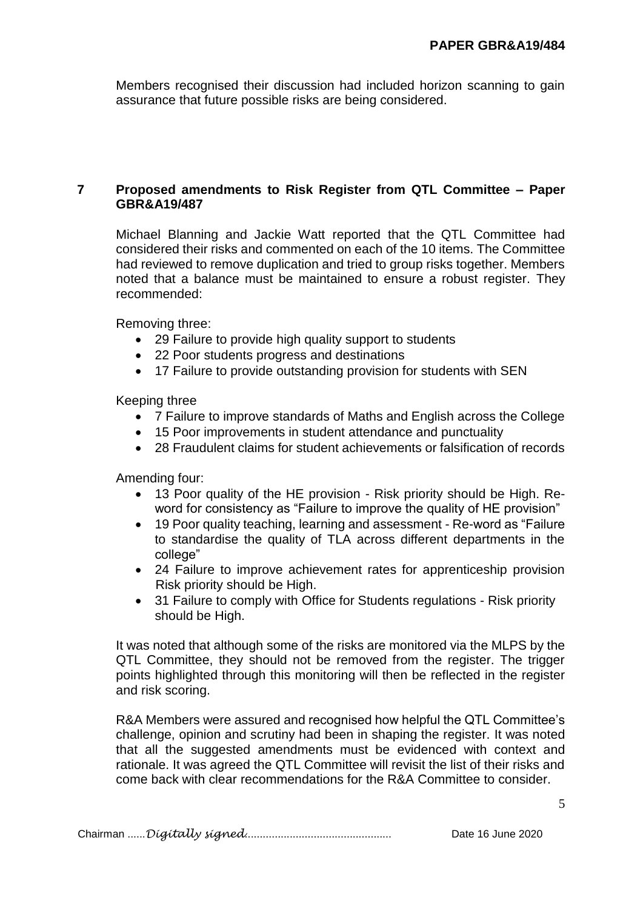Members recognised their discussion had included horizon scanning to gain assurance that future possible risks are being considered.

#### **7 Proposed amendments to Risk Register from QTL Committee – Paper GBR&A19/487**

Michael Blanning and Jackie Watt reported that the QTL Committee had considered their risks and commented on each of the 10 items. The Committee had reviewed to remove duplication and tried to group risks together. Members noted that a balance must be maintained to ensure a robust register. They recommended:

Removing three:

- 29 Failure to provide high quality support to students
- 22 Poor students progress and destinations
- 17 Failure to provide outstanding provision for students with SEN

Keeping three

- 7 Failure to improve standards of Maths and English across the College
- 15 Poor improvements in student attendance and punctuality
- 28 Fraudulent claims for student achievements or falsification of records

Amending four:

- 13 Poor quality of the HE provision Risk priority should be High. Reword for consistency as "Failure to improve the quality of HE provision"
- 19 Poor quality teaching, learning and assessment Re-word as "Failure to standardise the quality of TLA across different departments in the college"
- 24 Failure to improve achievement rates for apprenticeship provision Risk priority should be High.
- 31 Failure to comply with Office for Students regulations Risk priority should be High.

It was noted that although some of the risks are monitored via the MLPS by the QTL Committee, they should not be removed from the register. The trigger points highlighted through this monitoring will then be reflected in the register and risk scoring.

R&A Members were assured and recognised how helpful the QTL Committee's challenge, opinion and scrutiny had been in shaping the register. It was noted that all the suggested amendments must be evidenced with context and rationale. It was agreed the QTL Committee will revisit the list of their risks and come back with clear recommendations for the R&A Committee to consider.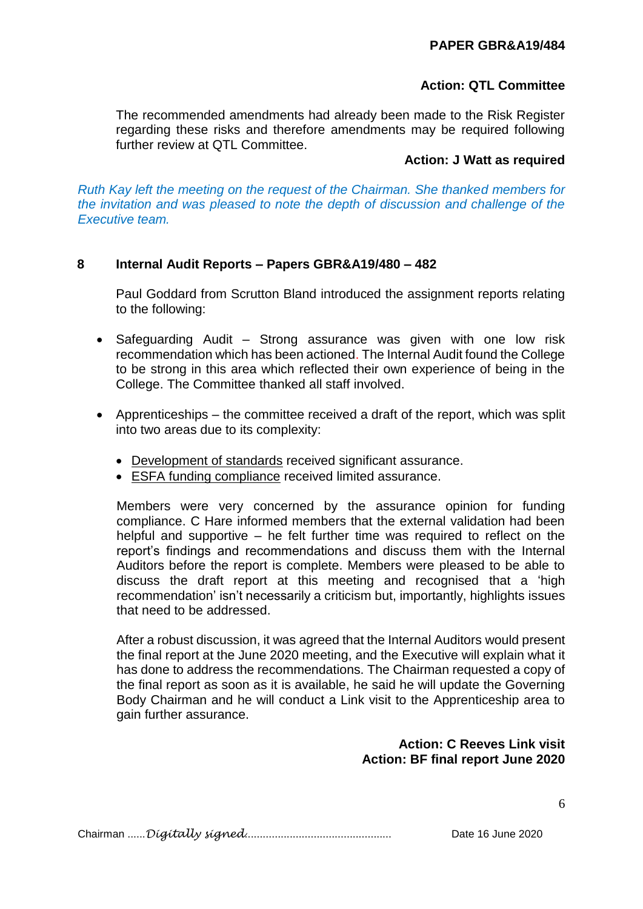# **PAPER GBR&A19/484**

# **Action: QTL Committee**

The recommended amendments had already been made to the Risk Register regarding these risks and therefore amendments may be required following further review at QTL Committee.

## **Action: J Watt as required**

*Ruth Kay left the meeting on the request of the Chairman. She thanked members for the invitation and was pleased to note the depth of discussion and challenge of the Executive team.*

# **8 Internal Audit Reports – Papers GBR&A19/480 – 482**

Paul Goddard from Scrutton Bland introduced the assignment reports relating to the following:

- Safeguarding Audit Strong assurance was given with one low risk recommendation which has been actioned. The Internal Audit found the College to be strong in this area which reflected their own experience of being in the College. The Committee thanked all staff involved.
- Apprenticeships the committee received a draft of the report, which was split into two areas due to its complexity:
	- Development of standards received significant assurance.
	- ESFA funding compliance received limited assurance.

Members were very concerned by the assurance opinion for funding compliance. C Hare informed members that the external validation had been helpful and supportive – he felt further time was required to reflect on the report's findings and recommendations and discuss them with the Internal Auditors before the report is complete. Members were pleased to be able to discuss the draft report at this meeting and recognised that a 'high recommendation' isn't necessarily a criticism but, importantly, highlights issues that need to be addressed.

After a robust discussion, it was agreed that the Internal Auditors would present the final report at the June 2020 meeting, and the Executive will explain what it has done to address the recommendations. The Chairman requested a copy of the final report as soon as it is available, he said he will update the Governing Body Chairman and he will conduct a Link visit to the Apprenticeship area to gain further assurance.

# **Action: C Reeves Link visit Action: BF final report June 2020**

Chairman ......*Digitally signed*................................................. Date 16 June 2020

6